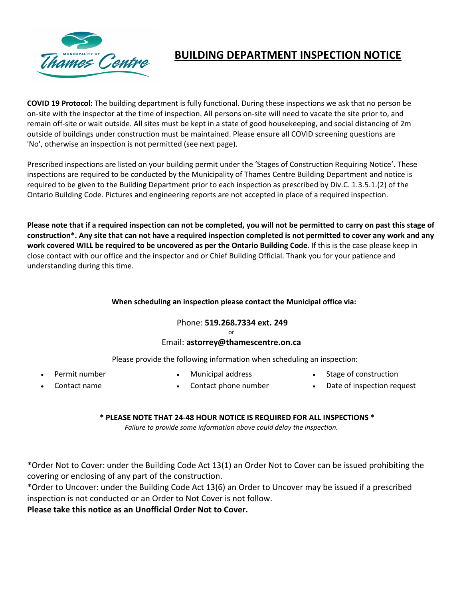

# **BUILDING DEPARTMENT INSPECTION NOTICE**

**COVID 19 Protocol:** The building department is fully functional. During these inspections we ask that no person be on-site with the inspector at the time of inspection. All persons on-site will need to vacate the site prior to, and remain off-site or wait outside. All sites must be kept in a state of good housekeeping, and social distancing of 2m outside of buildings under construction must be maintained. Please ensure all COVID screening questions are 'No', otherwise an inspection is not permitted (see next page).

Prescribed inspections are listed on your building permit under the 'Stages of Construction Requiring Notice'. These inspections are required to be conducted by the Municipality of Thames Centre Building Department and notice is required to be given to the Building Department prior to each inspection as prescribed by Div.C. 1.3.5.1.(2) of the Ontario Building Code. Pictures and engineering reports are not accepted in place of a required inspection.

**Please note that if a required inspection can not be completed, you will not be permitted to carry on past this stage of construction\*. Any site that can not have a required inspection completed is not permitted to cover any work and any work covered WILL be required to be uncovered as per the Ontario Building Code**. If this is the case please keep in close contact with our office and the inspector and or Chief Building Official. Thank you for your patience and understanding during this time.

## **When scheduling an inspection please contact the Municipal office via:**

## Phone: **519.268.7334 ext. 249**

or

## Email: **astorrey@thamescentre.on.ca**

Please provide the following information when scheduling an inspection:

- 
- Permit number **•** Municipal address Stage of construction
- 
- 
- 
- Contact name Contact phone number Date of inspection request

#### **\* PLEASE NOTE THAT 24-48 HOUR NOTICE IS REQUIRED FOR ALL INSPECTIONS \***

*Failure to provide some information above could delay the inspection.*

\*Order Not to Cover: under the Building Code Act 13(1) an Order Not to Cover can be issued prohibiting the covering or enclosing of any part of the construction.

\*Order to Uncover: under the Building Code Act 13(6) an Order to Uncover may be issued if a prescribed inspection is not conducted or an Order to Not Cover is not follow.

**Please take this notice as an Unofficial Order Not to Cover.**